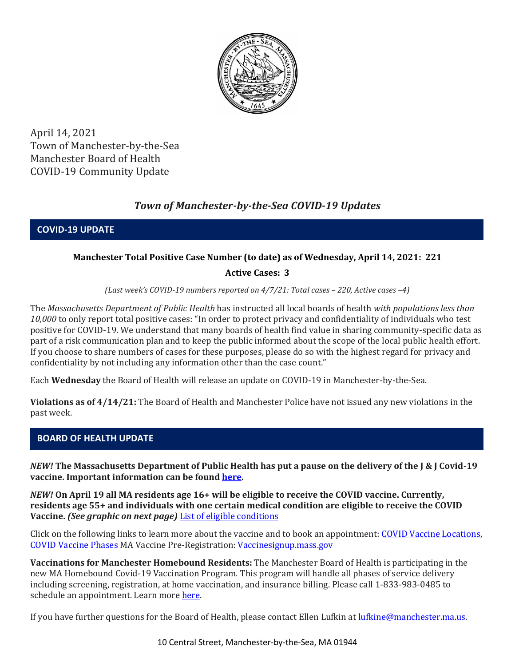

April 14, 2021 Town of Manchester-by-the-Sea Manchester Board of Health COVID-19 Community Update

# *Town of Manchester-by-the-Sea COVID-19 Updates*

**COVID-19 UPDATE**

## **Manchester Total Positive Case Number (to date) as of Wednesday, April 14, 2021: 221**

# **Active Cases: 3**

*(Last week's COVID-19 numbers reported on 4/7/21: Total cases – 220, Active cases –4)*

The *Massachusetts Department of Public Health* has instructed all local boards of health *with populations less than 10,000* to only report total positive cases: "In order to protect privacy and confidentiality of individuals who test positive for COVID-19. We understand that many boards of health find value in sharing community-specific data as part of a risk communication plan and to keep the public informed about the scope of the local public health effort. If you choose to share numbers of cases for these purposes, please do so with the highest regard for privacy and confidentiality by not including any information other than the case count."

Each **Wednesday** the Board of Health will release an update on COVID-19 in Manchester-by-the-Sea.

**Violations as of 4/14/21:** The Board of Health and Manchester Police have not issued any new violations in the past week.

## **BOARD OF HEALTH UPDATE**

*NEW!* **The Massachusetts Department of Public Health has put a pause on the delivery of the J & J Covid-19 vaccine. Important information can be found [here.](https://www.mass.gov/news/press-statement-in-response-to-todays-recommendation-from-the-fda-and-cdc-to-pause-jj-vaccines)** 

*NEW!* **On April 19 all MA residents age 16+ will be eligible to receive the COVID vaccine. Currently, residents age 55+ and individuals with one certain medical condition are eligible to receive the COVID Vaccine.** *(See graphic on next page)* [List of eligible conditions](https://www.cdc.gov/coronavirus/2019-ncov/need-extra-precautions/people-with-medical-conditions.html)

Click on the following links to learn more about the vaccine and to book an appointment: [COVID Vaccine Locations,](https://www.mass.gov/info-details/covid-19-vaccination-locations)  [COVID Vaccine Phases](https://www.mass.gov/info-details/massachusetts-covid-19-vaccination-phases) MA Vaccine Pre-Registration: [Vaccinesignup.mass.gov](https://vaccinesignup.mass.gov/#/)

**Vaccinations for Manchester Homebound Residents:** The Manchester Board of Health is participating in the new MA Homebound Covid-19 Vaccination Program. This program will handle all phases of service delivery including screening, registration, at home vaccination, and insurance billing. Please call 1-833-983-0485 to schedule an appointment. Learn mor[e here.](http://manchester.ma.us/337/Board-of-Health)

If you have further questions for the Board of Health, please contact Ellen Lufkin at [lufkine@manchester.ma.us.](mailto:lufkine@manchester.ma.us)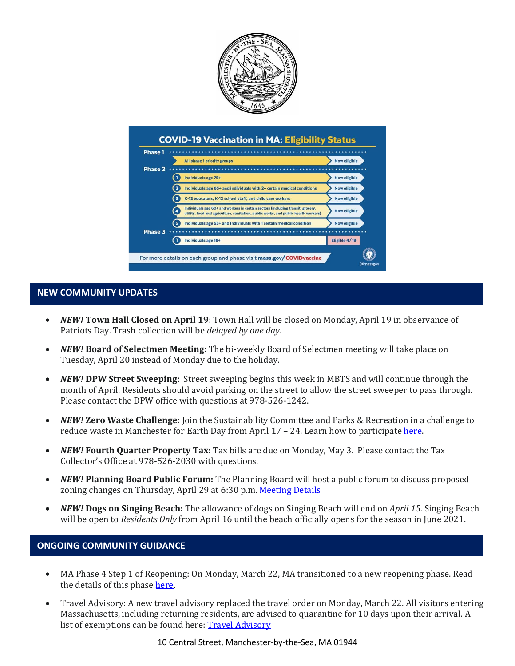



#### **NEW COMMUNITY UPDATES**

- *NEW!* **Town Hall Closed on April 19**: Town Hall will be closed on Monday, April 19 in observance of Patriots Day. Trash collection will be *delayed by one day*.
- *NEW!* **Board of Selectmen Meeting:** The bi-weekly Board of Selectmen meeting will take place on Tuesday, April 20 instead of Monday due to the holiday.
- *NEW!* **DPW Street Sweeping:** Street sweeping begins this week in MBTS and will continue through the month of April. Residents should avoid parking on the street to allow the street sweeper to pass through. Please contact the DPW office with questions at 978-526-1242.
- *NEW!* **Zero Waste Challenge:** Join the Sustainability Committee and Parks & Recreation in a challenge to reduce waste in Manchester for Earth Day from April 17 – 24. Learn how to participate [here.](https://www.manchester.ma.us/DocumentCenter/View/3779/ZeroWasteChallengeFlier-2)
- *NEW!* **Fourth Quarter Property Tax:** Tax bills are due on Monday, May 3. Please contact the Tax Collector's Office at 978-526-2030 with questions.
- *NEW!* **Planning Board Public Forum:** The Planning Board will host a public forum to discuss proposed zoning changes on Thursday, April 29 at 6:30 p.m[. Meeting Details](http://manchester.ma.us/Calendar.aspx?EID=1860)
- *NEW!* **Dogs on Singing Beach:** The allowance of dogs on Singing Beach will end on *April 15*. Singing Beach will be open to *Residents Only* from April 16 until the beach officially opens for the season in June 2021.

#### **ONGOING COMMUNITY GUIDANCE**

- MA Phase 4 Step 1 of Reopening: On Monday, March 22, MA transitioned to a new reopening phase. Read the details of this phase [here.](https://www.mass.gov/news/baker-polito-administration-announces-transition-to-phase-iv-of-reopening-plan)
- Travel Advisory: A new travel advisory replaced the travel order on Monday, March 22. All visitors entering Massachusetts, including returning residents, are advised to quarantine for 10 days upon their arrival. A list of exemptions can be found here: **Travel Advisory**

10 Central Street, Manchester-by-the-Sea, MA 01944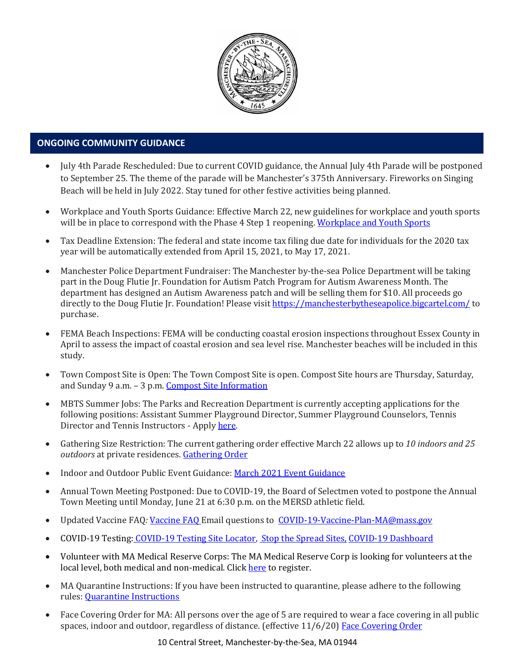

# • **ONGOING COMMUNITY GUIDANCE**

- July 4th Parade Rescheduled: Due to current COVID guidance, the Annual July 4th Parade will be postponed to September 25. The theme of the parade will be Manchester's 375th Anniversary. Fireworks on Singing Beach will be held in July 2022. Stay tuned for other festive activities being planned.
- Workplace and Youth Sports Guidance: Effective March 22, new guidelines for workplace and youth sports will be in place to correspond with the Phase 4 Step 1 reopening[. Workplace and Youth Sports](https://www.mass.gov/doc/safety-standards-for-youth-and-adult-amateur-sports-activities-phase-iv-step-1-effective-32221/download)
- Tax Deadline Extension: The federal and state income tax filing due date for individuals for the 2020 tax year will be automatically extended from April 15, 2021, to May 17, 2021.
- Manchester Police Department Fundraiser: The Manchester by-the-sea Police Department will be taking part in the Doug Flutie Jr. Foundation for Autism Patch Program for Autism Awareness Month. The department has designed an Autism Awareness patch and will be selling them for \$10. All proceeds go directly to the Doug Flutie Jr. Foundation! Please visit <https://manchesterbytheseapolice.bigcartel.com/> to purchase.
- FEMA Beach Inspections: FEMA will be conducting coastal erosion inspections throughout Essex County in April to assess the impact of coastal erosion and sea level rise. Manchester beaches will be included in this study.
- Town Compost Site is Open: The Town Compost Site is open. Compost Site hours are Thursday, Saturday, and Sunday 9 a.m. – 3 p.m. [Compost Site Information](https://www.manchester.ma.us/413/Yard-Compost-Site)
- MBTS Summer Jobs: The Parks and Recreation Department is currently accepting applications for the following positions: Assistant Summer Playground Director, Summer Playground Counselors, Tennis Director and Tennis Instructors - Apply [here.](https://www.manchester.ma.us/268/Parks-Recreation)
- Gathering Size Restriction: The current gathering order effective March 22 allows up to *10 indoors and 25 outdoors* at private residences. [Gathering Order](https://www.manchester.ma.us/DocumentCenter/View/3746/Signed-Appendix-for-Gatherings-Order-31821)
- Indoor and Outdoor Public Event Guidance[: March 2021 Event Guidance](https://www.manchester.ma.us/DocumentCenter/View/3736/Final_Indoor-and-Outdoor-Events-Guidance-31121)
- Annual Town Meeting Postponed: Due to COVID-19, the Board of Selectmen voted to postpone the Annual Town Meeting until Monday, June 21 at 6:30 p.m. on the MERSD athletic field.
- Updated [Vaccine FAQ](https://www.mass.gov/doc/covid-19-vaccine-frequently-asked-questions/download): Vaccine FAQ Email questions to [COVID-19-Vaccine-Plan-MA@mass.gov](file:///C:/Users/marlettat/Desktop/Public%20Relations/2021/COVID-19-Vaccine-Plan-MA@mass.gov)
- COVID-19 Testing: [COVID-19 Testing Site Locator,](https://memamaps.maps.arcgis.com/apps/webappviewer/index.html?id=eba3f0395451430b9f631cb095febf13) [Stop the Spread Sites,](https://www.mass.gov/info-details/stop-the-spread) [COVID-19 Dashboard](https://www.mass.gov/info-details/covid-19-response-reporting#covid-19-interactive-data-dashboard-)
- Volunteer with MA Medical Reserve Corps: The MA Medical Reserve Corp is looking for volunteers at the local level, both medical and non-medical. Clic[k here](https://l.facebook.com/l.php?u=https%3A%2F%2Fwww.mamedicalreservecorps.org%2Fcovid19%3Ffbclid%3DIwAR1O_7U70XMSPe_kbb689S7zAJbCTYavpqNhIz9Ce2s-encj1Mlz3fOmjYI&h=AT3a2b6zxupFiw2RA_9kLVFDLZwmtblukw3wwe3pvVN6YWtLrkwxEyW8Z8S97uuzXDiNt1x4DYp7DeOoXm1U98GjBQQufV4R5eC5sYpFoqMi6iMDgiQu2THu_d0XoA0BnNUMg336NM-KtUxjtQ&__tn__=-UK-R&c%5b0%5d=AT2anP_ULhxU-U55t7AxrMiNTXfNIJnoicfzRyKEGzk_70Dtxb6ttNSKpwftDkeovmenW9ksjPEmhjSrMDjZ_NEMD2Upi_WEREnPIZBLU-8cgapV1WMi5HvUjS0InF_0K4aE4PXV6bei0V79lnY9jSo89LgXHVCMF9u0-PYa4j6cBMOzl7xPt7oB2_WGVQ8cDciW8b9U) to register.
- MA Quarantine Instructions: If you have been instructed to quarantine, please adhere to the following rules: [Quarantine Instructions](http://manchester.ma.us/DocumentCenter/View/3558/14-10-7-day-COVID19_Quarantine-information-1272020)
- Face Covering Order for MA: All persons over the age of 5 are required to wear a face covering in all public spaces, indoor and outdoor, regardless of distance. (effective 11/6/20) [Face Covering Order](http://manchester.ma.us/DocumentCenter/View/3499/Revised-Face-Coverings-Order-No-55-1?fbclid=IwAR1a7l39TKetEAZ_mA8K6saG2GZ1dRBKA9-xuJJ3tDlAVUGCp7YatZmCKEo)